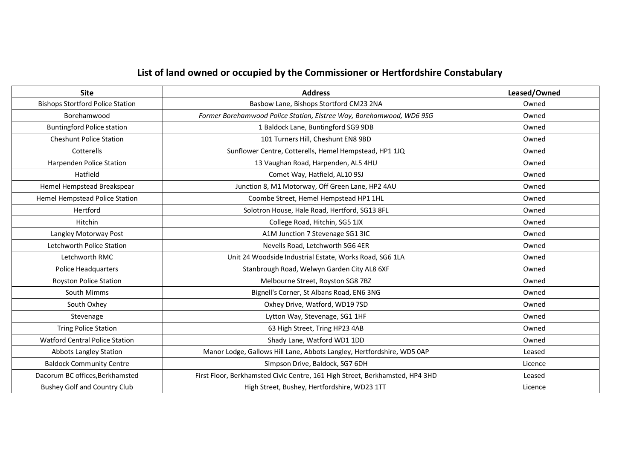## **List of land owned or occupied by the Commissioner or Hertfordshire Constabulary**

| <b>Site</b>                             | <b>Address</b>                                                               | Leased/Owned |
|-----------------------------------------|------------------------------------------------------------------------------|--------------|
| <b>Bishops Stortford Police Station</b> | Basbow Lane, Bishops Stortford CM23 2NA                                      | Owned        |
| Borehamwood                             | Former Borehamwood Police Station, Elstree Way, Borehamwood, WD6 9SG         | Owned        |
| <b>Buntingford Police station</b>       | 1 Baldock Lane, Buntingford SG9 9DB                                          | Owned        |
| <b>Cheshunt Police Station</b>          | 101 Turners Hill, Cheshunt EN8 9BD                                           | Owned        |
| Cotterells                              | Sunflower Centre, Cotterells, Hemel Hempstead, HP1 1JQ                       | Owned        |
| Harpenden Police Station                | 13 Vaughan Road, Harpenden, AL5 4HU                                          | Owned        |
| Hatfield                                | Comet Way, Hatfield, AL10 9SJ                                                | Owned        |
| Hemel Hempstead Breakspear              | Junction 8, M1 Motorway, Off Green Lane, HP2 4AU                             | Owned        |
| Hemel Hempstead Police Station          | Coombe Street, Hemel Hempstead HP1 1HL                                       | Owned        |
| Hertford                                | Solotron House, Hale Road, Hertford, SG13 8FL                                | Owned        |
| Hitchin                                 | College Road, Hitchin, SG5 1JX                                               | Owned        |
| Langley Motorway Post                   | A1M Junction 7 Stevenage SG1 3IC                                             | Owned        |
| Letchworth Police Station               | Nevells Road, Letchworth SG6 4ER                                             | Owned        |
| Letchworth RMC                          | Unit 24 Woodside Industrial Estate, Works Road, SG6 1LA                      | Owned        |
| Police Headquarters                     | Stanbrough Road, Welwyn Garden City AL8 6XF                                  | Owned        |
| <b>Royston Police Station</b>           | Melbourne Street, Royston SG8 7BZ                                            | Owned        |
| South Mimms                             | Bignell's Corner, St Albans Road, EN6 3NG                                    | Owned        |
| South Oxhey                             | Oxhey Drive, Watford, WD19 7SD                                               | Owned        |
| Stevenage                               | Lytton Way, Stevenage, SG1 1HF                                               | Owned        |
| <b>Tring Police Station</b>             | 63 High Street, Tring HP23 4AB                                               | Owned        |
| <b>Watford Central Police Station</b>   | Shady Lane, Watford WD1 1DD                                                  | Owned        |
| <b>Abbots Langley Station</b>           | Manor Lodge, Gallows Hill Lane, Abbots Langley, Hertfordshire, WD5 0AP       | Leased       |
| <b>Baldock Community Centre</b>         | Simpson Drive, Baldock, SG7 6DH                                              | Licence      |
| Dacorum BC offices, Berkhamsted         | First Floor, Berkhamsted Civic Centre, 161 High Street, Berkhamsted, HP4 3HD | Leased       |
| <b>Bushey Golf and Country Club</b>     | High Street, Bushey, Hertfordshire, WD23 1TT                                 | Licence      |